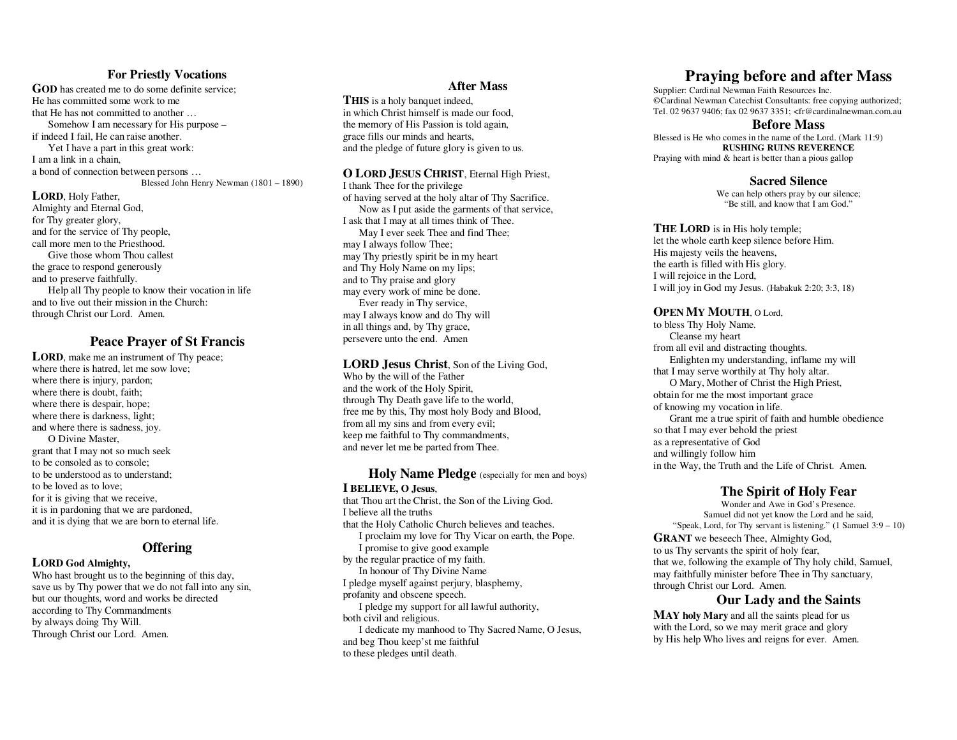## **For Priestly Vocations**

 **GOD** has created me to do some definite service; He has committed some work to me that He has not committed to another … Somehow I am necessary for His purpose – if indeed I fail, He can raise another. Yet I have a part in this great work: I am a link in a chain, a bond of connection between persons …Blessed John Henry Newman (1801 – 1890)

**LORD**, Holy Father, Almighty and Eternal God,for Thy greater glory, and for the service of Thy people, call more men to the Priesthood. Give those whom Thou callest the grace to respond generously and to preserve faithfully. Help all Thy people to know their vocation in lifeand to live out their mission in the Church: through Christ our Lord. Amen.

# **Peace Prayer of St Francis**

LORD, make me an instrument of Thy peace; where there is hatred, let me sow love; where there is injury, pardon; where there is doubt, faith; where there is despair, hope; where there is darkness, light; and where there is sadness, joy. O Divine Master, grant that I may not so much seek to be consoled as to console; to be understood as to understand; to be loved as to love; for it is giving that we receive, it is in pardoning that we are pardoned, and it is dying that we are born to eternal life.

## **Offering**

## **LORD God Almighty,**

 Who hast brought us to the beginning of this day, save us by Thy power that we do not fall into any sin, but our thoughts, word and works be directed according to Thy Commandments by always doing Thy Will. Through Christ our Lord. Amen.

## **After Mass**

**THIS** is a holy banquet indeed. in which Christ himself is made our food, the memory of His Passion is told again, grace fills our minds and hearts, and the pledge of future glory is given to us.

#### **OLORD JESUS CHRIST**, Eternal High Priest,

 I thank Thee for the privilege of having served at the holy altar of Thy Sacrifice. Now as I put aside the garments of that service, I ask that I may at all times think of Thee. May I ever seek Thee and find Thee; may I always follow Thee; may Thy priestly spirit be in my heart and Thy Holy Name on my lips; and to Thy praise and glory may every work of mine be done. Ever ready in Thy service, may I always know and do Thy will in all things and, by Thy grace, persevere unto the end. Amen

**LORD Jesus Christ**, Son of the Living God, Who by the will of the Father and the work of the Holy Spirit, through Thy Death gave life to the world, free me by this, Thy most holy Body and Blood, from all my sins and from every evil; keep me faithful to Thy commandments, and never let me be parted from Thee.

**Holy Name Pledge** (especially for men and boys) **I BELIEVE, O Jesus**, that Thou art the Christ, the Son of the Living God. I believe all the truths that the Holy Catholic Church believes and teaches. I proclaim my love for Thy Vicar on earth, the Pope. I promise to give good example by the regular practice of my faith. In honour of Thy Divine Name I pledge myself against perjury, blasphemy, profanity and obscene speech. I pledge my support for all lawful authority, both civil and religious. I dedicate my manhood to Thy Sacred Name, O Jesus,and beg Thou keep'st me faithful to these pledges until death.

# **Praying before and after Mass**

Supplier: Cardinal Newman Faith Resources Inc. ©Cardinal Newman Catechist Consultants: free copying authorized; Tel. 02 9637 9406; fax 02 9637 3351; <fr@cardinalnewman.com.au

## **Before Mass**

 Blessed is He who comes in the name of the Lord. (Mark 11:9) **RUSHING RUINS REVERENCE** Praying with mind & heart is better than a pious gallop

**Sacred Silence** 

 We can help others pray by our silence; "Be still, and know that I am God."

# **THE LORD** is in His holy temple;

 let the whole earth keep silence before Him. His majesty veils the heavens, the earth is filled with His glory. I will rejoice in the Lord, I will joy in God my Jesus. (Habakuk 2:20; 3:3, 18)

#### **OPEN MY MOUTH**, O Lord,

 to bless Thy Holy Name. Cleanse my heart from all evil and distracting thoughts. Enlighten my understanding, inflame my will that I may serve worthily at Thy holy altar. O Mary, Mother of Christ the High Priest, obtain for me the most important grace of knowing my vocation in life. Grant me a true spirit of faith and humble obedience so that I may ever behold the priest as a representative of God and willingly follow him in the Way, the Truth and the Life of Christ. Amen.

## **The Spirit of Holy Fear**

 Wonder and Awe in God's Presence. Samuel did not yet know the Lord and he said, "Speak, Lord, for Thy servant is listening." (1 Samuel 3:9 – 10)

**GRANT** we beseech Thee, Almighty God, to us Thy servants the spirit of holy fear, that we, following the example of Thy holy child, Samuel, may faithfully minister before Thee in Thy sanctuary, through Christ our Lord. Amen.

## **Our Lady and the Saints**

**MAY holy Mary** and all the saints plead for us with the Lord, so we may merit grace and glory by His help Who lives and reigns for ever. Amen.